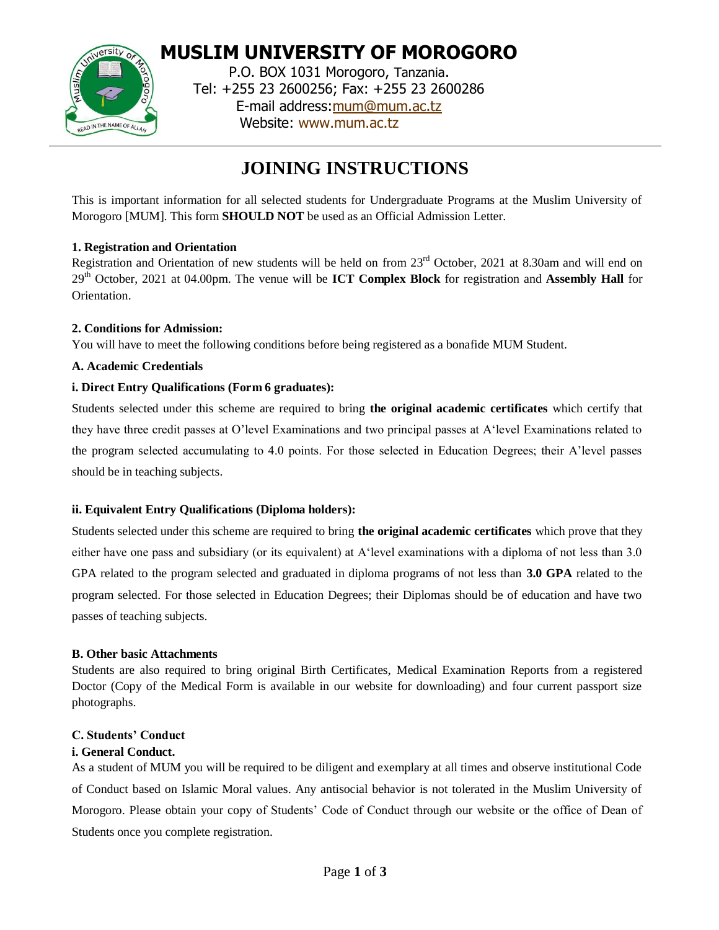

**MUSLIM UNIVERSITY OF MOROGORO** P.O. BOX 1031 Morogoro, Tanzania. Tel: +255 23 2600256; Fax: +255 23 2600286 E-mail address[:mum@mum.ac.tz](mailto:mum@mum.ac.tz) Website: [www.mum.ac.tz](http://www.mum.ac.tz/)

# **JOINING INSTRUCTIONS**

This is important information for all selected students for Undergraduate Programs at the Muslim University of Morogoro [MUM]. This form **SHOULD NOT** be used as an Official Admission Letter.

# **1. Registration and Orientation**

Registration and Orientation of new students will be held on from 23<sup>rd</sup> October, 2021 at 8.30am and will end on 29 th October, 2021 at 04.00pm. The venue will be **ICT Complex Block** for registration and **Assembly Hall** for **Orientation** 

# **2. Conditions for Admission:**

You will have to meet the following conditions before being registered as a bonafide MUM Student.

# **A. Academic Credentials**

# **i. Direct Entry Qualifications (Form 6 graduates):**

Students selected under this scheme are required to bring **the original academic certificates** which certify that they have three credit passes at O'level Examinations and two principal passes at A'level Examinations related to the program selected accumulating to 4.0 points. For those selected in Education Degrees; their A'level passes should be in teaching subjects.

# **ii. Equivalent Entry Qualifications (Diploma holders):**

Students selected under this scheme are required to bring **the original academic certificates** which prove that they either have one pass and subsidiary (or its equivalent) at A'level examinations with a diploma of not less than 3.0 GPA related to the program selected and graduated in diploma programs of not less than **3.0 GPA** related to the program selected. For those selected in Education Degrees; their Diplomas should be of education and have two passes of teaching subjects.

## **B. Other basic Attachments**

Students are also required to bring original Birth Certificates, Medical Examination Reports from a registered Doctor (Copy of the Medical Form is available in our website for downloading) and four current passport size photographs.

## **C. Students' Conduct**

## **i. General Conduct.**

As a student of MUM you will be required to be diligent and exemplary at all times and observe institutional Code of Conduct based on Islamic Moral values. Any antisocial behavior is not tolerated in the Muslim University of Morogoro. Please obtain your copy of Students' Code of Conduct through our website or the office of Dean of Students once you complete registration.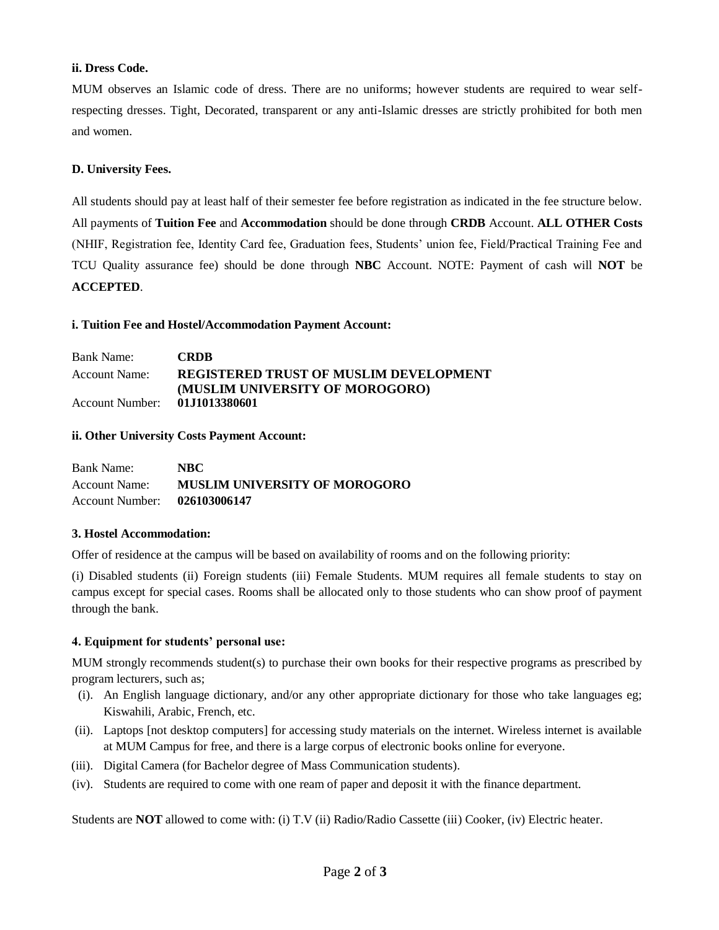# **ii. Dress Code.**

MUM observes an Islamic code of dress. There are no uniforms; however students are required to wear selfrespecting dresses. Tight, Decorated, transparent or any anti-Islamic dresses are strictly prohibited for both men and women.

# **D. University Fees.**

All students should pay at least half of their semester fee before registration as indicated in the fee structure below. All payments of **Tuition Fee** and **Accommodation** should be done through **CRDB** Account. **ALL OTHER Costs**  (NHIF, Registration fee, Identity Card fee, Graduation fees, Students' union fee, Field/Practical Training Fee and TCU Quality assurance fee) should be done through **NBC** Account. NOTE: Payment of cash will **NOT** be **ACCEPTED**.

## **i. Tuition Fee and Hostel/Accommodation Payment Account:**

| Bank Name:      | <b>CRDB</b>                                   |
|-----------------|-----------------------------------------------|
| Account Name:   | <b>REGISTERED TRUST OF MUSLIM DEVELOPMENT</b> |
|                 | (MUSLIM UNIVERSITY OF MOROGORO)               |
| Account Number: | 01.11013380601                                |

# **ii. Other University Costs Payment Account:**

| <b>Bank Name:</b>            | NBC.                                 |
|------------------------------|--------------------------------------|
| Account Name:                | <b>MUSLIM UNIVERSITY OF MOROGORO</b> |
| Account Number: 026103006147 |                                      |

## **3. Hostel Accommodation:**

Offer of residence at the campus will be based on availability of rooms and on the following priority:

(i) Disabled students (ii) Foreign students (iii) Female Students. MUM requires all female students to stay on campus except for special cases. Rooms shall be allocated only to those students who can show proof of payment through the bank.

## **4. Equipment for students' personal use:**

MUM strongly recommends student(s) to purchase their own books for their respective programs as prescribed by program lecturers, such as;

- (i). An English language dictionary, and/or any other appropriate dictionary for those who take languages eg; Kiswahili, Arabic, French, etc.
- (ii). Laptops [not desktop computers] for accessing study materials on the internet. Wireless internet is available at MUM Campus for free, and there is a large corpus of electronic books online for everyone.
- (iii). Digital Camera (for Bachelor degree of Mass Communication students).
- (iv). Students are required to come with one ream of paper and deposit it with the finance department.

Students are **NOT** allowed to come with: (i) T.V (ii) Radio/Radio Cassette (iii) Cooker, (iv) Electric heater.